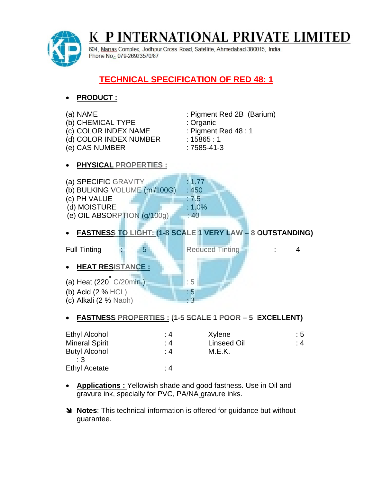

P INTERNATIONAL PRIVATE LIMITED Κ

604, Manas Complex, Jodhpur Cross Road, Satellite, Ahmedabad-380015, India Phone No: 079-26923570/87

## **TECHNICAL SPECIFICATION OF RED 48: 1**



## **FASTNESS PROPERTIES : (1-5 SCALE 1 POOR – 5 EXCELLENT)**

| <b>Ethyl Alcohol</b>  | :4  | Xylene             | :5 |
|-----------------------|-----|--------------------|----|
| <b>Mineral Spirit</b> | : 4 | <b>Linseed Oil</b> | :4 |
| <b>Butyl Alcohol</b>  | :4  | M.E.K.             |    |
| :3                    |     |                    |    |
| <b>Ethyl Acetate</b>  | : 4 |                    |    |

- **Applications :** Yellowish shade and good fastness. Use in Oil and gravure ink, specially for PVC, PA/NA gravure inks.
- **Notes**: This technical information is offered for guidance but without guarantee.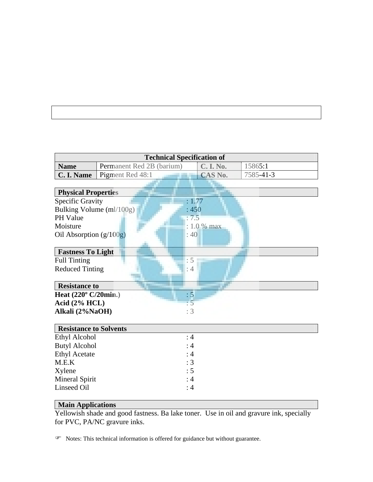| <b>Technical Specification of</b> |                                  |                |           |  |  |
|-----------------------------------|----------------------------------|----------------|-----------|--|--|
| <b>Name</b>                       | <b>Permanent Red 2B (barium)</b> | C. I. No.      | 15865:1   |  |  |
| C. I. Name                        | <b>Pigment Red 48:1</b>          | <b>CAS No.</b> | 7585-41-3 |  |  |
|                                   |                                  |                |           |  |  |

| <b>Physical Properties</b>                    |             |
|-----------------------------------------------|-------------|
| <b>Specific Gravity</b>                       | : 1.77      |
| Bulking Volume (ml/100g)                      | :450        |
| <b>PH</b> Value                               | : 7.5       |
| Moisture                                      | : 1.0 % max |
| Oil Absorption $(g/100g)$                     | : 40        |
|                                               |             |
| <b>Fastness To Light</b>                      |             |
| <b>Full Tinting</b>                           |             |
| <b>Reduced Tinting</b>                        | : 4         |
|                                               |             |
| <b>Resistance to</b>                          |             |
| Heat $(220^{\circ} \text{ C}/20 \text{min.})$ | : 5         |
| Acid $(2% HCL)$                               | $\cdot$ 5   |
| Alkali (2%NaOH)                               | :3          |
|                                               |             |
| <b>Resistance to Solvents</b>                 |             |

| <b>Resistance to Solvents</b> |     |  |
|-------------------------------|-----|--|
| Ethyl Alcohol                 | :4  |  |
| <b>Butyl Alcohol</b>          | :4  |  |
| <b>Ethyl Acetate</b>          | :4  |  |
| M.E.K                         | : 3 |  |
| Xylene                        | : 5 |  |
| Mineral Spirit                | :4  |  |
| Linseed Oil                   | : 4 |  |
|                               |     |  |

## **Main Applications**

Yellowish shade and good fastness. Ba lake toner. Use in oil and gravure ink, specially for PVC, PA/NC gravure inks.

Notes: This technical information is offered for guidance but without guarantee.